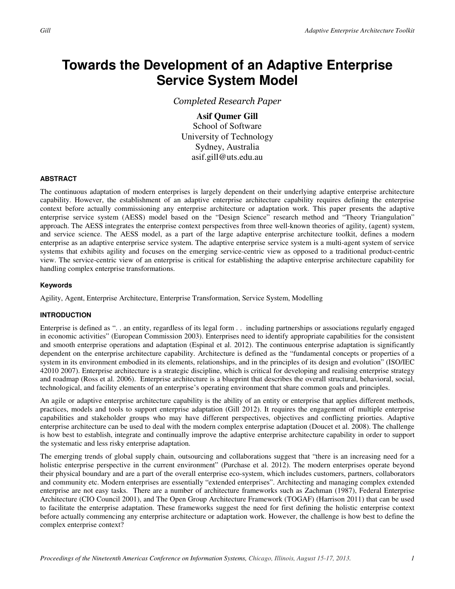# **Towards the Development of an Adaptive Enterprise Service System Model**

Completed Research Paper

**Asif Qumer Gill**  School of Software University of Technology Sydney, Australia asif.gill@uts.edu.au

## **ABSTRACT**

The continuous adaptation of modern enterprises is largely dependent on their underlying adaptive enterprise architecture capability. However, the establishment of an adaptive enterprise architecture capability requires defining the enterprise context before actually commissioning any enterprise architecture or adaptation work. This paper presents the adaptive enterprise service system (AESS) model based on the "Design Science" research method and "Theory Triangulation" approach. The AESS integrates the enterprise context perspectives from three well-known theories of agility, (agent) system, and service science. The AESS model, as a part of the large adaptive enterprise architecture toolkit, defines a modern enterprise as an adaptive enterprise service system. The adaptive enterprise service system is a multi-agent system of service systems that exhibits agility and focuses on the emerging service-centric view as opposed to a traditional product-centric view. The service-centric view of an enterprise is critical for establishing the adaptive enterprise architecture capability for handling complex enterprise transformations.

## **Keywords**

Agility, Agent, Enterprise Architecture, Enterprise Transformation, Service System, Modelling

# **INTRODUCTION**

Enterprise is defined as ". . an entity, regardless of its legal form . . including partnerships or associations regularly engaged in economic activities" (European Commission 2003). Enterprises need to identify appropriate capabilities for the consistent and smooth enterprise operations and adaptation (Espinal et al. 2012). The continuous enterprise adaptation is significantly dependent on the enterprise architecture capability. Architecture is defined as the "fundamental concepts or properties of a system in its environment embodied in its elements, relationships, and in the principles of its design and evolution" (ISO/IEC 42010 2007). Enterprise architecture is a strategic discipline, which is critical for developing and realising enterprise strategy and roadmap (Ross et al. 2006). Enterprise architecture is a blueprint that describes the overall structural, behavioral, social, technological, and facility elements of an enterprise's operating environment that share common goals and principles.

An agile or adaptive enterprise architecture capability is the ability of an entity or enterprise that applies different methods, practices, models and tools to support enterprise adaptation (Gill 2012). It requires the engagement of multiple enterprise capabilities and stakeholder groups who may have different perspectives, objectives and conflicting priorties. Adaptive enterprise architecture can be used to deal with the modern complex enterprise adaptation (Doucet et al. 2008). The challenge is how best to establish, integrate and continually improve the adaptive enterprise architecture capability in order to support the systematic and less risky enterprise adaptation.

The emerging trends of global supply chain, outsourcing and collaborations suggest that "there is an increasing need for a holistic enterprise perspective in the current environment" (Purchase et al. 2012). The modern enterprises operate beyond their physical boundary and are a part of the overall enterprise eco-system, which includes customers, partners, collaborators and community etc. Modern enterprises are essentially "extended enterprises". Architecting and managing complex extended enterprise are not easy tasks. There are a number of architecture frameworks such as Zachman (1987), Federal Enterprise Architecture (CIO Council 2001), and The Open Group Architecture Framework (TOGAF) (Harrison 2011) that can be used to facilitate the enterprise adaptation. These frameworks suggest the need for first defining the holistic enterprise context before actually commencing any enterprise architecture or adaptation work. However, the challenge is how best to define the complex enterprise context?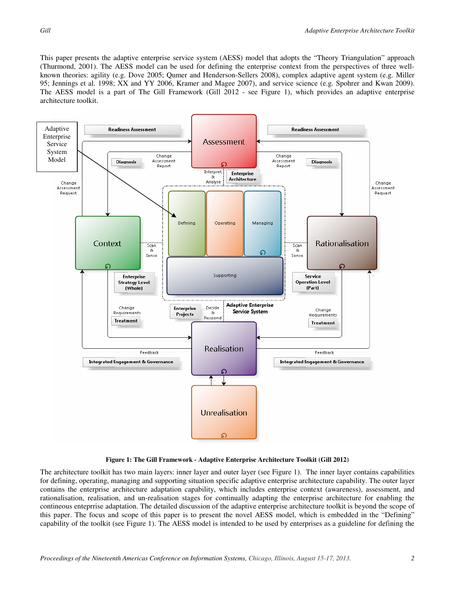This paper presents the adaptive enterprise service system (AESS) model that adopts the "Theory Triangulation" approach (Thurmond, 2001). The AESS model can be used for defining the enterprise context from the perspectives of three wellknown theories: agility (e.g. Dove 2005; Qumer and Henderson-Sellers 2008), complex adaptive agent system (e.g. Miller 95; Jennings et al. 1998; XX and YY 2006, Kramer and Magee 2007), and service science (e.g. Spohrer and Kwan 2009). The AESS model is a part of The Gill Framework (Gill 2012 - see Figure 1), which provides an adaptive enterprise architecture toolkit.





The architecture toolkit has two main layers: inner layer and outer layer (see Figure 1). The inner layer contains capabilities for defining, operating, managing and supporting situation specific adaptive enterprise architecture capability. The outer layer contains the enterprise architecture adaptation capability, which includes enterprise context (awareness), assessment, and rationalisation, realisation, and un-realisation stages for continually adapting the enterprise architecture for enabling the contineous enteprrise adaptation. The detailed discussion of the adaptive enterprise architecture toolkit is beyond the scope of this paper. The focus and scope of this paper is to present the novel AESS model, which is embedded in the "Defining" capability of the toolkit (see Figure 1). The AESS model is intended to be used by enterprises as a guideline for defining the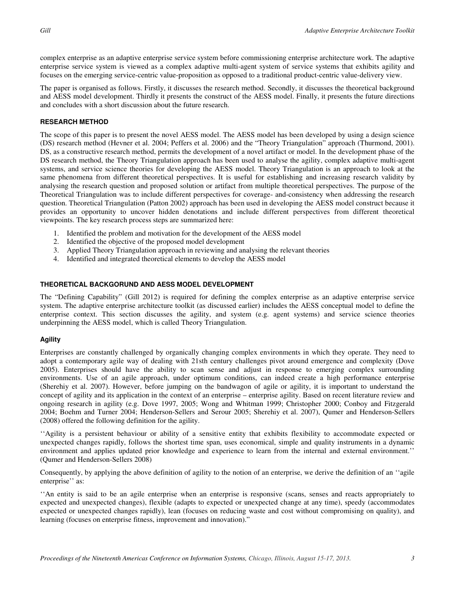complex enterprise as an adaptive enterprise service system before commissioning enterprise architecture work. The adaptive enterprise service system is viewed as a complex adaptive multi-agent system of service systems that exhibits agility and focuses on the emerging service-centric value-proposition as opposed to a traditional product-centric value-delivery view.

The paper is organised as follows. Firstly, it discusses the research method. Secondly, it discusses the theoretical background and AESS model development. Thirdly it presents the construct of the AESS model. Finally, it presents the future directions and concludes with a short discussion about the future research.

# **RESEARCH METHOD**

The scope of this paper is to present the novel AESS model. The AESS model has been developed by using a design science (DS) research method (Hevner et al. 2004; Peffers et al. 2006) and the "Theory Triangulation" approach (Thurmond, 2001). DS, as a constructive research method, permits the development of a novel artifact or model. In the development phase of the DS research method, the Theory Triangulation approach has been used to analyse the agility, complex adaptive multi-agent systems, and service science theories for developing the AESS model. Theory Triangulation is an approach to look at the same phenomena from different theoretical perspectives. It is useful for establishing and increasing research validity by analysing the research question and proposed solution or artifact from multiple theoretical perspectives. The purpose of the Theoretical Triangulation was to include different perspectives for coverage- and-consistency when addressing the research question. Theoretical Triangulation (Patton 2002) approach has been used in developing the AESS model construct because it provides an opportunity to uncover hidden denotations and include different perspectives from different theoretical viewpoints. The key research process steps are summarized here:

- 1. Identified the problem and motivation for the development of the AESS model
- 2. Identified the objective of the proposed model development
- 3. Applied Theory Triangulation approach in reviewing and analysing the relevant theories
- 4. Identified and integrated theoretical elements to develop the AESS model

# **THEORETICAL BACKGORUND AND AESS MODEL DEVELOPMENT**

The "Defining Capability" (Gill 2012) is required for defining the complex enterprise as an adaptive enterprise service system. The adaptive enterprise architecture toolkit (as discussed earlier) includes the AESS conceptual model to define the enterprise context. This section discusses the agility, and system (e.g. agent systems) and service science theories underpinning the AESS model, which is called Theory Triangulation.

# **Agility**

Enterprises are constantly challenged by organically changing complex environments in which they operate. They need to adopt a contemporary agile way of dealing with 21sth century challenges pivot around emergence and complexity (Dove 2005). Enterprises should have the ability to scan sense and adjust in response to emerging complex surrounding environments. Use of an agile approach, under optimum conditions, can indeed create a high performance enterprise (Sherehiy et al. 2007). However, before jumping on the bandwagon of agile or agility, it is important to understand the concept of agility and its application in the context of an enterprise – enterprise agility. Based on recent literature review and ongoing research in agility (e.g. Dove 1997, 2005; Wong and Whitman 1999; Christopher 2000; Conboy and Fitzgerald 2004; Boehm and Turner 2004; Henderson-Sellers and Serour 2005; Sherehiy et al. 2007), Qumer and Henderson-Sellers (2008) offered the following definition for the agility.

''Agility is a persistent behaviour or ability of a sensitive entity that exhibits flexibility to accommodate expected or unexpected changes rapidly, follows the shortest time span, uses economical, simple and quality instruments in a dynamic environment and applies updated prior knowledge and experience to learn from the internal and external environment.'' (Qumer and Henderson-Sellers 2008)

Consequently, by applying the above definition of agility to the notion of an enterprise, we derive the definition of an ''agile enterprise" as:

''An entity is said to be an agile enterprise when an enterprise is responsive (scans, senses and reacts appropriately to expected and unexpected changes), flexible (adapts to expected or unexpected change at any time), speedy (accommodates expected or unexpected changes rapidly), lean (focuses on reducing waste and cost without compromising on quality), and learning (focuses on enterprise fitness, improvement and innovation)."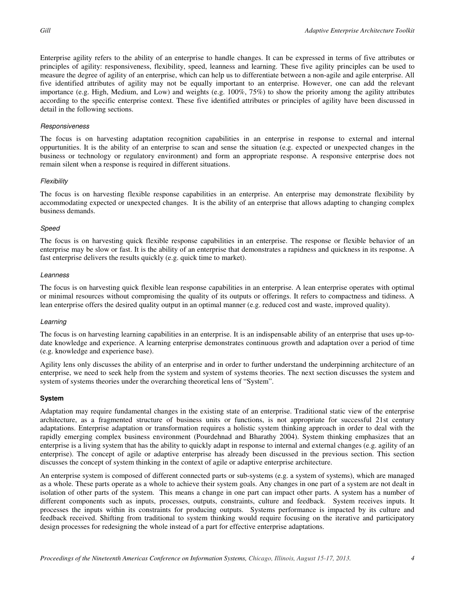Enterprise agility refers to the ability of an enterprise to handle changes. It can be expressed in terms of five attributes or principles of agility: responsiveness, flexibility, speed, leanness and learning. These five agility principles can be used to measure the degree of agility of an enterprise, which can help us to differentiate between a non-agile and agile enterprise. All five identified attributes of agility may not be equally important to an enterprise. However, one can add the relevant importance (e.g. High, Medium, and Low) and weights (e.g. 100%, 75%) to show the priority among the agility attributes according to the specific enterprise context. These five identified attributes or principles of agility have been discussed in detail in the following sections.

#### Responsiveness

The focus is on harvesting adaptation recognition capabilities in an enterprise in response to external and internal oppurtunities. It is the ability of an enterprise to scan and sense the situation (e.g. expected or unexpected changes in the business or technology or regulatory environment) and form an appropriate response. A responsive enterprise does not remain silent when a response is required in different situations.

#### Flexibility

The focus is on harvesting flexible response capabilities in an enterprise. An enterprise may demonstrate flexibility by accommodating expected or unexpected changes. It is the ability of an enterprise that allows adapting to changing complex business demands.

#### Speed

The focus is on harvesting quick flexible response capabilities in an enterprise. The response or flexible behavior of an enterprise may be slow or fast. It is the ability of an enterprise that demonstrates a rapidness and quickness in its response. A fast enterprise delivers the results quickly (e.g. quick time to market).

#### Leanness

The focus is on harvesting quick flexible lean response capabilities in an enterprise. A lean enterprise operates with optimal or minimal resources without compromising the quality of its outputs or offerings. It refers to compactness and tidiness. A lean enterprise offers the desired quality output in an optimal manner (e.g. reduced cost and waste, improved quality).

## Learning

The focus is on harvesting learning capabilities in an enterprise. It is an indispensable ability of an enterprise that uses up-todate knowledge and experience. A learning enterprise demonstrates continuous growth and adaptation over a period of time (e.g. knowledge and experience base).

Agility lens only discusses the ability of an enterprise and in order to further understand the underpinning architecture of an enterprise, we need to seek help from the system and system of systems theories. The next section discusses the system and system of systems theories under the overarching theoretical lens of "System".

## **System**

Adaptation may require fundamental changes in the existing state of an enterprise. Traditional static view of the enterprise architecture, as a fragmented structure of business units or functions, is not appropriate for successful 21st century adaptations. Enterprise adaptation or transformation requires a holistic system thinking approach in order to deal with the rapidly emerging complex business environment (Pourdehnad and Bharathy 2004). System thinking emphasizes that an enterprise is a living system that has the ability to quickly adapt in response to internal and external changes (e.g. agility of an enterprise). The concept of agile or adaptive enterprise has already been discussed in the previous section. This section discusses the concept of system thinking in the context of agile or adaptive enterprise architecture.

An enterprise system is composed of different connected parts or sub-systems (e.g. a system of systems), which are managed as a whole. These parts operate as a whole to achieve their system goals. Any changes in one part of a system are not dealt in isolation of other parts of the system. This means a change in one part can impact other parts. A system has a number of different components such as inputs, processes, outputs, constraints, culture and feedback. System receives inputs. It processes the inputs within its constraints for producing outputs. Systems performance is impacted by its culture and feedback received. Shifting from traditional to system thinking would require focusing on the iterative and participatory design processes for redesigning the whole instead of a part for effective enterprise adaptations.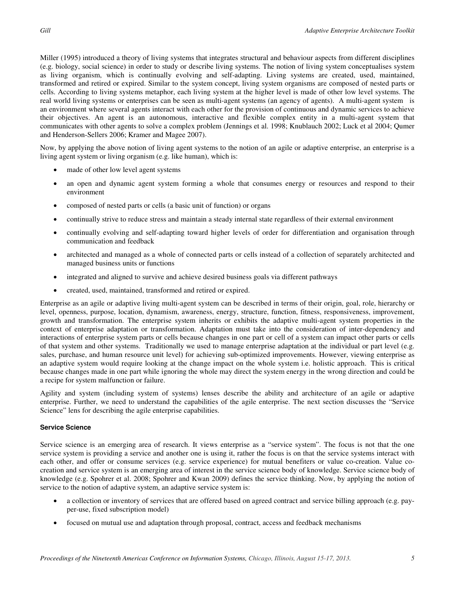Miller (1995) introduced a theory of living systems that integrates structural and behaviour aspects from different disciplines (e.g. biology, social science) in order to study or describe living systems. The notion of living system conceptualises system as living organism, which is continually evolving and self-adapting. Living systems are created, used, maintained, transformed and retired or expired. Similar to the system concept, living system organisms are composed of nested parts or cells. According to living systems metaphor, each living system at the higher level is made of other low level systems. The real world living systems or enterprises can be seen as multi-agent systems (an agency of agents). A multi-agent system is an environment where several agents interact with each other for the provision of continuous and dynamic services to achieve their objectives. An agent is an autonomous, interactive and flexible complex entity in a multi-agent system that communicates with other agents to solve a complex problem (Jennings et al. 1998; Knublauch 2002; Luck et al 2004; Qumer and Henderson-Sellers 2006; Kramer and Magee 2007).

Now, by applying the above notion of living agent systems to the notion of an agile or adaptive enterprise, an enterprise is a living agent system or living organism (e.g. like human), which is:

- made of other low level agent systems
- an open and dynamic agent system forming a whole that consumes energy or resources and respond to their environment
- composed of nested parts or cells (a basic unit of function) or organs
- continually strive to reduce stress and maintain a steady internal state regardless of their external environment
- continually evolving and self-adapting toward higher levels of order for differentiation and organisation through communication and feedback
- architected and managed as a whole of connected parts or cells instead of a collection of separately architected and managed business units or functions
- integrated and aligned to survive and achieve desired business goals via different pathways
- created, used, maintained, transformed and retired or expired.

Enterprise as an agile or adaptive living multi-agent system can be described in terms of their origin, goal, role, hierarchy or level, openness, purpose, location, dynamism, awareness, energy, structure, function, fitness, responsiveness, improvement, growth and transformation. The enterprise system inherits or exhibits the adaptive multi-agent system properties in the context of enterprise adaptation or transformation. Adaptation must take into the consideration of inter-dependency and interactions of enterprise system parts or cells because changes in one part or cell of a system can impact other parts or cells of that system and other systems. Traditionally we used to manage enterprise adaptation at the individual or part level (e.g. sales, purchase, and human resource unit level) for achieving sub-optimized improvements. However, viewing enterprise as an adaptive system would require looking at the change impact on the whole system i.e. holistic approach. This is critical because changes made in one part while ignoring the whole may direct the system energy in the wrong direction and could be a recipe for system malfunction or failure.

Agility and system (including system of systems) lenses describe the ability and architecture of an agile or adaptive enterprise. Further, we need to understand the capabilities of the agile enterprise. The next section discusses the "Service Science" lens for describing the agile enterprise capabilities.

# **Service Science**

Service science is an emerging area of research. It views enterprise as a "service system". The focus is not that the one service system is providing a service and another one is using it, rather the focus is on that the service systems interact with each other, and offer or consume services (e.g. service experience) for mutual benefiters or value co-creation. Value cocreation and service system is an emerging area of interest in the service science body of knowledge. Service science body of knowledge (e.g. Spohrer et al. 2008; Spohrer and Kwan 2009) defines the service thinking. Now, by applying the notion of service to the notion of adaptive system, an adaptive service system is:

- a collection or inventory of services that are offered based on agreed contract and service billing approach (e.g. payper-use, fixed subscription model)
- focused on mutual use and adaptation through proposal, contract, access and feedback mechanisms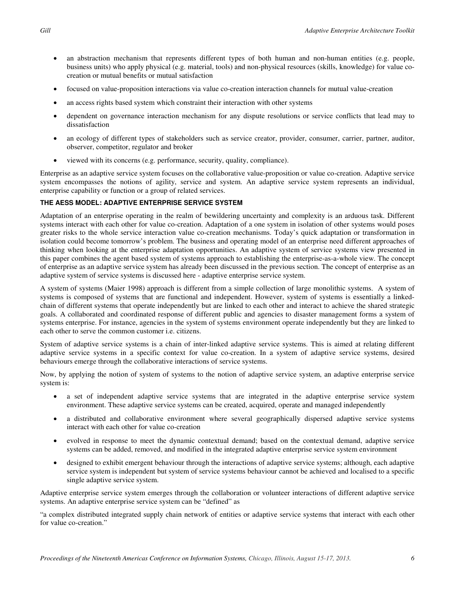- an abstraction mechanism that represents different types of both human and non-human entities (e.g. people, business units) who apply physical (e.g. material, tools) and non-physical resources (skills, knowledge) for value cocreation or mutual benefits or mutual satisfaction
- focused on value-proposition interactions via value co-creation interaction channels for mutual value-creation
- an access rights based system which constraint their interaction with other systems
- dependent on governance interaction mechanism for any dispute resolutions or service conflicts that lead may to dissatisfaction
- an ecology of different types of stakeholders such as service creator, provider, consumer, carrier, partner, auditor, observer, competitor, regulator and broker
- viewed with its concerns (e.g. performance, security, quality, compliance).

Enterprise as an adaptive service system focuses on the collaborative value-proposition or value co-creation. Adaptive service system encompasses the notions of agility, service and system. An adaptive service system represents an individual, enterprise capability or function or a group of related services.

# **THE AESS MODEL: ADAPTIVE ENTERPRISE SERVICE SYSTEM**

Adaptation of an enterprise operating in the realm of bewildering uncertainty and complexity is an arduous task. Different systems interact with each other for value co-creation. Adaptation of a one system in isolation of other systems would poses greater risks to the whole service interaction value co-creation mechanisms. Today's quick adaptation or transformation in isolation could become tomorrow's problem. The business and operating model of an enterprise need different approaches of thinking when looking at the enterprise adaptation opportunities. An adaptive system of service systems view presented in this paper combines the agent based system of systems approach to establishing the enterprise-as-a-whole view. The concept of enterprise as an adaptive service system has already been discussed in the previous section. The concept of enterprise as an adaptive system of service systems is discussed here - adaptive enterprise service system.

A system of systems (Maier 1998) approach is different from a simple collection of large monolithic systems. A system of systems is composed of systems that are functional and independent. However, system of systems is essentially a linkedchain of different systems that operate independently but are linked to each other and interact to achieve the shared strategic goals. A collaborated and coordinated response of different public and agencies to disaster management forms a system of systems enterprise. For instance, agencies in the system of systems environment operate independently but they are linked to each other to serve the common customer i.e. citizens.

System of adaptive service systems is a chain of inter-linked adaptive service systems. This is aimed at relating different adaptive service systems in a specific context for value co-creation. In a system of adaptive service systems, desired behaviours emerge through the collaborative interactions of service systems.

Now, by applying the notion of system of systems to the notion of adaptive service system, an adaptive enterprise service system is:

- a set of independent adaptive service systems that are integrated in the adaptive enterprise service system environment. These adaptive service systems can be created, acquired, operate and managed independently
- a distributed and collaborative environment where several geographically dispersed adaptive service systems interact with each other for value co-creation
- evolved in response to meet the dynamic contextual demand; based on the contextual demand, adaptive service systems can be added, removed, and modified in the integrated adaptive enterprise service system environment
- designed to exhibit emergent behaviour through the interactions of adaptive service systems; although, each adaptive service system is independent but system of service systems behaviour cannot be achieved and localised to a specific single adaptive service system.

Adaptive enterprise service system emerges through the collaboration or volunteer interactions of different adaptive service systems. An adaptive enterprise service system can be "defined" as

"a complex distributed integrated supply chain network of entities or adaptive service systems that interact with each other for value co-creation."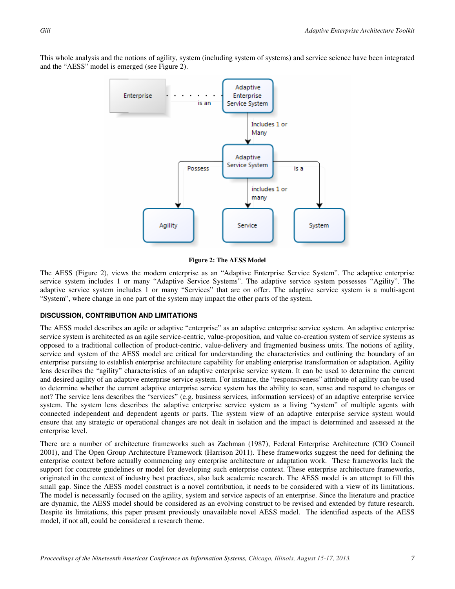This whole analysis and the notions of agility, system (including system of systems) and service science have been integrated and the "AESS" model is emerged (see Figure 2).



#### **Figure 2: The AESS Model**

The AESS (Figure 2), views the modern enterprise as an "Adaptive Enterprise Service System". The adaptive enterprise service system includes 1 or many "Adaptive Service Systems". The adaptive service system possesses "Agility". The adaptive service system includes 1 or many "Services" that are on offer. The adaptive service system is a multi-agent "System", where change in one part of the system may impact the other parts of the system.

# **DISCUSSION, CONTRIBUTION AND LIMITATIONS**

The AESS model describes an agile or adaptive "enterprise" as an adaptive enterprise service system. An adaptive enterprise service system is architected as an agile service-centric, value-proposition, and value co-creation system of service systems as opposed to a traditional collection of product-centric, value-delivery and fragmented business units. The notions of agility, service and system of the AESS model are critical for understanding the characteristics and outlining the boundary of an enterprise pursuing to establish enterprise architecture capability for enabling enterprise transformation or adaptation. Agility lens describes the "agility" characteristics of an adaptive enterprise service system. It can be used to determine the current and desired agility of an adaptive enterprise service system. For instance, the "responsiveness" attribute of agility can be used to determine whether the current adaptive enterprise service system has the ability to scan, sense and respond to changes or not? The service lens describes the "services" (e.g. business services, information services) of an adaptive enterprise service system. The system lens describes the adaptive enterprise service system as a living "system" of multiple agents with connected independent and dependent agents or parts. The system view of an adaptive enterprise service system would ensure that any strategic or operational changes are not dealt in isolation and the impact is determined and assessed at the enterprise level.

There are a number of architecture frameworks such as Zachman (1987), Federal Enterprise Architecture (CIO Council 2001), and The Open Group Architecture Framework (Harrison 2011). These frameworks suggest the need for defining the enterprise context before actually commencing any enterprise architecture or adaptation work. These frameworks lack the support for concrete guidelines or model for developing such enterprise context. These enterprise architecture frameworks, originated in the context of industry best practices, also lack academic research. The AESS model is an attempt to fill this small gap. Since the AESS model construct is a novel contribution, it needs to be considered with a view of its limitations. The model is necessarily focused on the agility, system and service aspects of an enterprise. Since the literature and practice are dynamic, the AESS model should be considered as an evolving construct to be revised and extended by future research. Despite its limitations, this paper present previously unavailable novel AESS model. The identified aspects of the AESS model, if not all, could be considered a research theme.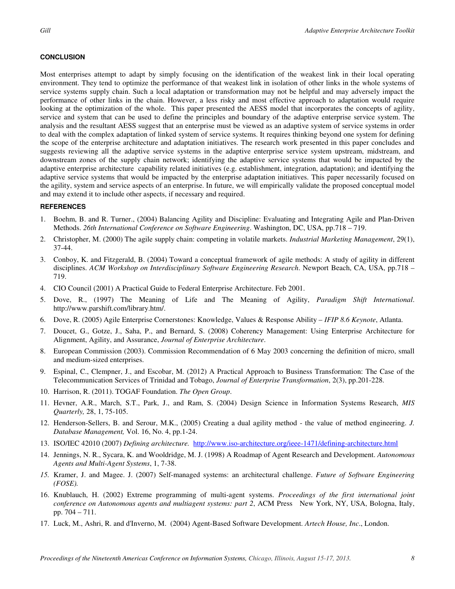# **CONCLUSION**

Most enterprises attempt to adapt by simply focusing on the identification of the weakest link in their local operating environment. They tend to optimize the performance of that weakest link in isolation of other links in the whole systems of service systems supply chain. Such a local adaptation or transformation may not be helpful and may adversely impact the performance of other links in the chain. However, a less risky and most effective approach to adaptation would require looking at the optimization of the whole. This paper presented the AESS model that incorporates the concepts of agility, service and system that can be used to define the principles and boundary of the adaptive enterprise service system. The analysis and the resultant AESS suggest that an enterprise must be viewed as an adaptive system of service systems in order to deal with the complex adaptation of linked system of service systems. It requires thinking beyond one system for defining the scope of the enterprise architecture and adaptation initiatives. The research work presented in this paper concludes and suggests reviewing all the adaptive service systems in the adaptive enterprise service system upstream, midstream, and downstream zones of the supply chain network; identifying the adaptive service systems that would be impacted by the adaptive enterprise architecture capability related initiatives (e.g. establishment, integration, adaptation); and identifying the adaptive service systems that would be impacted by the enterprise adaptation initiatives. This paper necessarily focused on the agility, system and service aspects of an enterprise. In future, we will empirically validate the proposed conceptual model and may extend it to include other aspects, if necessary and required.

# **REFERENCES**

- 1. Boehm, B. and R. Turner., (2004) Balancing Agility and Discipline: Evaluating and Integrating Agile and Plan-Driven Methods. *26th International Conference on Software Engineering*. Washington, DC, USA, pp.718 – 719.
- 2. Christopher, M. (2000) The agile supply chain: competing in volatile markets. *Industrial Marketing Management*, 29(1), 37-44.
- 3. Conboy, K. and Fitzgerald, B. (2004) Toward a conceptual framework of agile methods: A study of agility in different disciplines. *ACM Workshop on Interdisciplinary Software Engineering Research*. Newport Beach, CA, USA, pp.718 – 719.
- 4. CIO Council (2001) A Practical Guide to Federal Enterprise Architecture. Feb 2001.
- 5. Dove, R., (1997) The Meaning of Life and The Meaning of Agility, *Paradigm Shift International*. http://www.parshift.com/library.htm/.
- 6. Dove, R. (2005) Agile Enterprise Cornerstones: Knowledge, Values & Response Ability *IFIP 8.6 Keynote*, Atlanta.
- 7. Doucet, G., Gotze, J., Saha, P., and Bernard, S. (2008) Coherency Management: Using Enterprise Architecture for Alignment, Agility, and Assurance, *Journal of Enterprise Architecture*.
- 8. European Commission (2003). Commission Recommendation of 6 May 2003 concerning the definition of micro, small and medium-sized enterprises.
- 9. Espinal, C., Clempner, J., and Escobar, M. (2012) A Practical Approach to Business Transformation: The Case of the Telecommunication Services of Trinidad and Tobago, *Journal of Enterprise Transformation*, 2(3), pp.201-228.
- 10. Harrison, R. (2011). TOGAF Foundation. *The Open Group*.
- 11. Hevner, A.R., March, S.T., Park, J., and Ram, S. (2004) Design Science in Information Systems Research, *MIS Quarterly,* 28, 1, 75-105.
- 12. Henderson-Sellers, B. and Serour, M.K., (2005) Creating a dual agility method the value of method engineering. *J. Database Management,* Vol. 16, No. 4, pp.1-24.
- 13. ISO/IEC 42010 (2007) *Defining architecture.* http://www.iso-architecture.org/ieee-1471/defining-architecture.html
- 14. Jennings, N. R., Sycara, K. and Wooldridge, M. J. (1998) A Roadmap of Agent Research and Development. *Autonomous Agents and Multi-Agent Systems*, 1, 7-38.
- *15.* Kramer, J. and Magee. J. (2007) Self-managed systems: an architectural challenge. *Future of Software Engineering (FOSE).*
- 16. Knublauch, H. (2002) Extreme programming of multi-agent systems. *Proceedings of the first international joint conference on Autonomous agents and multiagent systems: part 2*, ACM Press New York, NY, USA, Bologna, Italy, pp. 704 – 711.
- 17. Luck, M., Ashri, R. and d'Inverno, M. (2004) Agent-Based Software Development. *Artech House, Inc*., London.